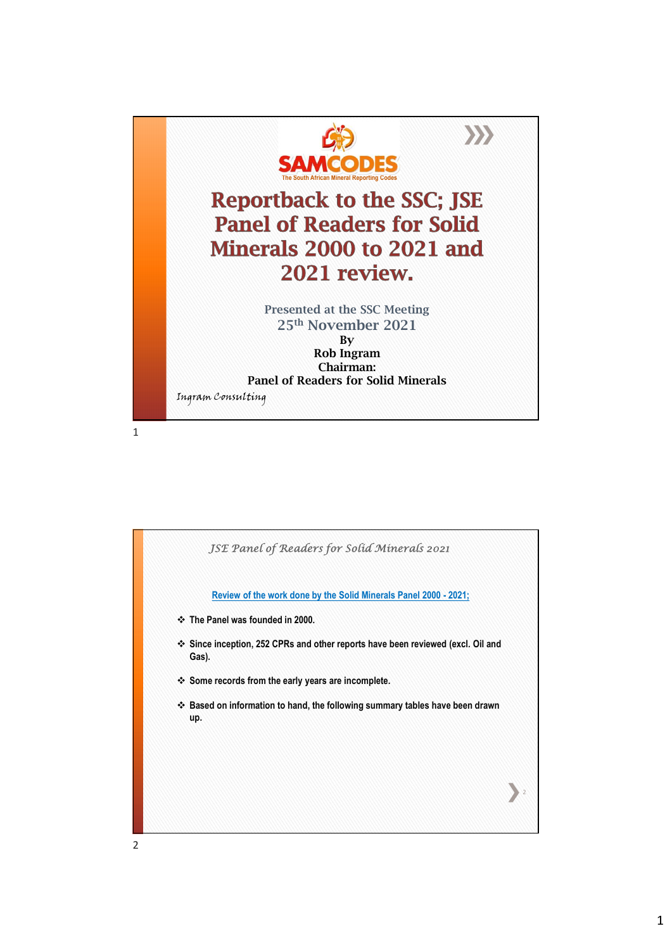

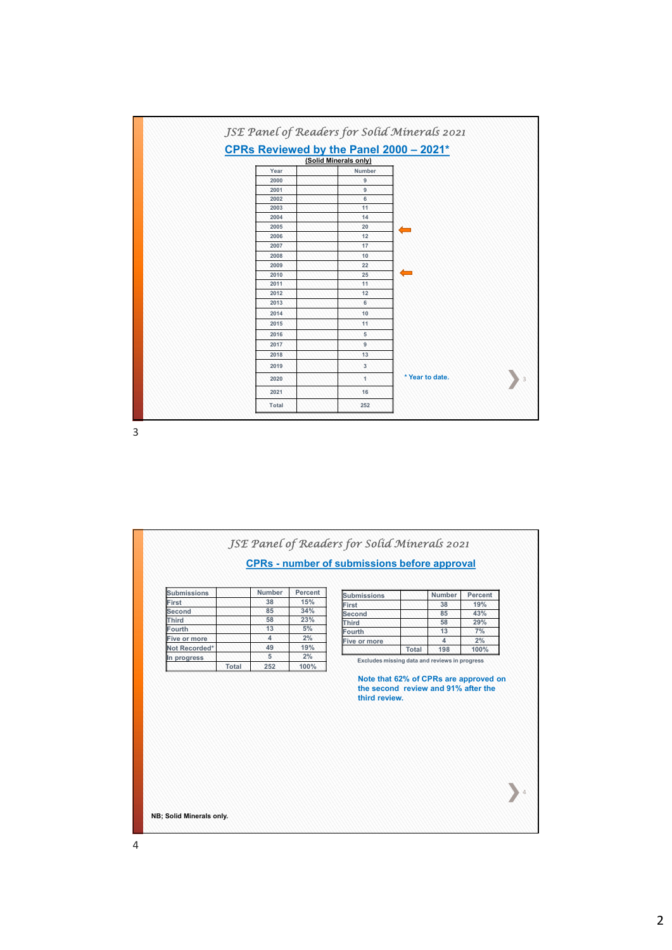

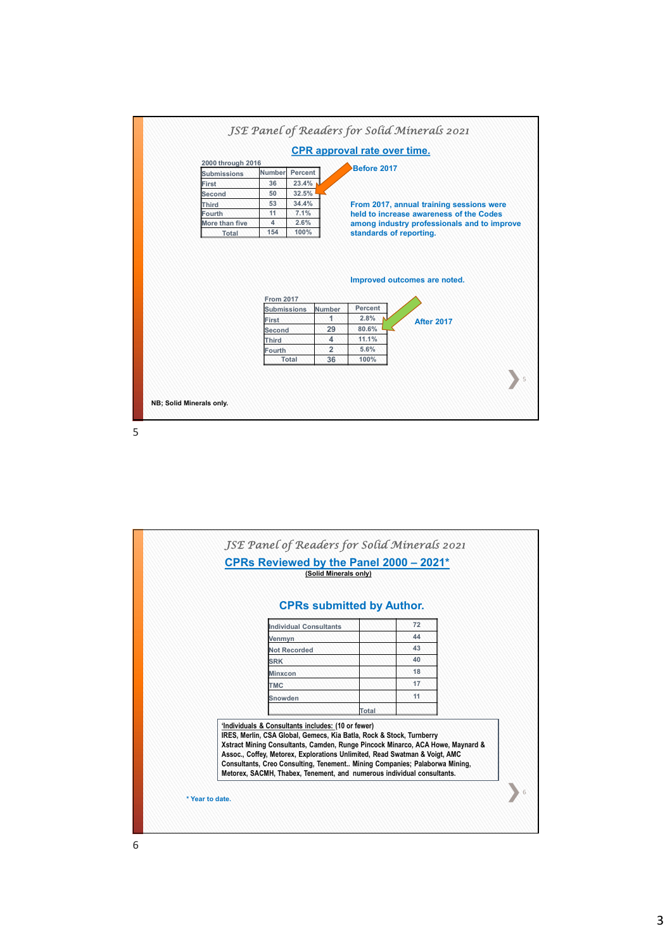

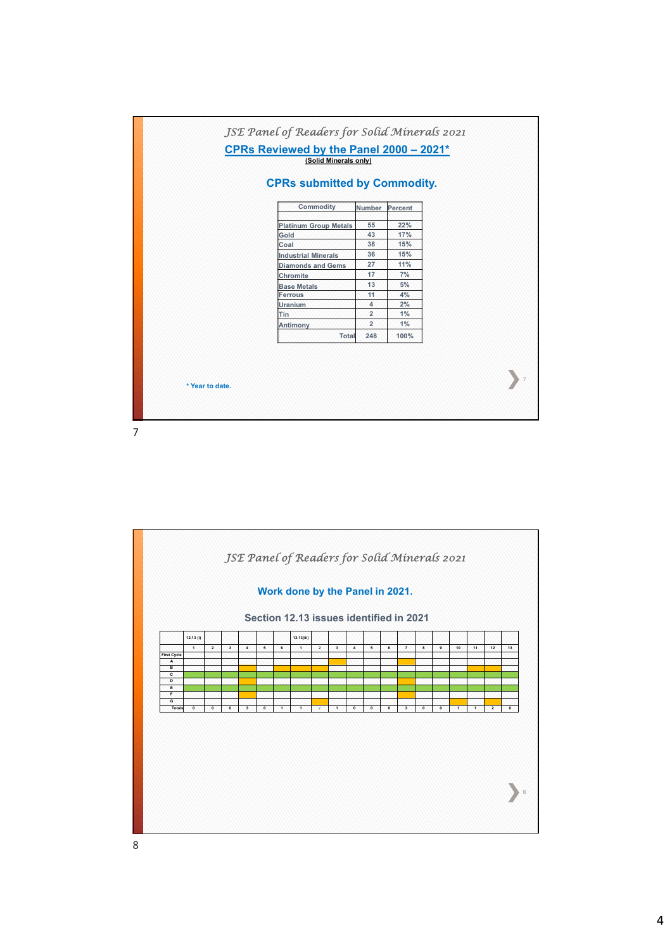

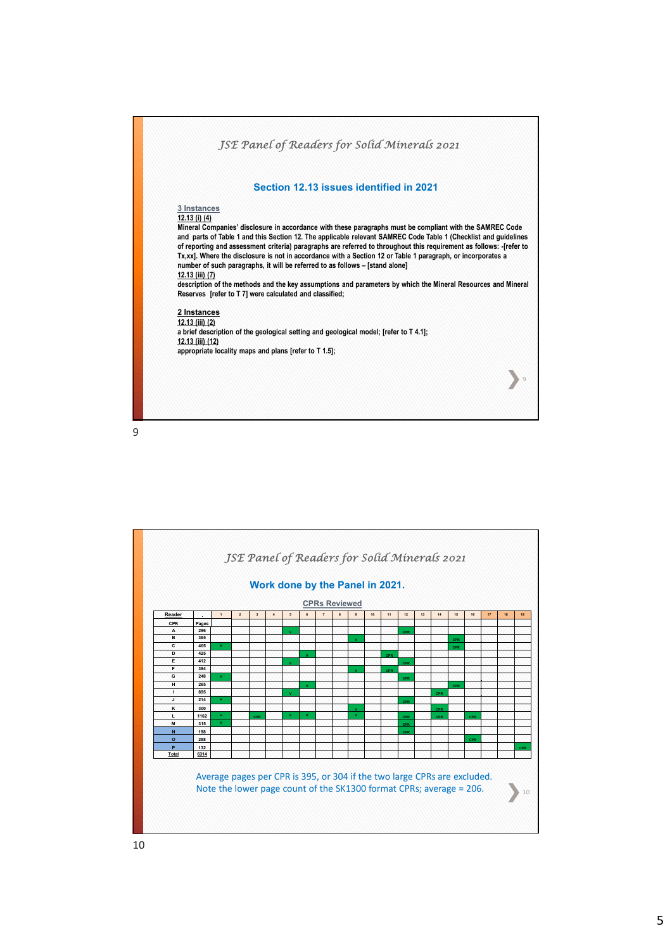

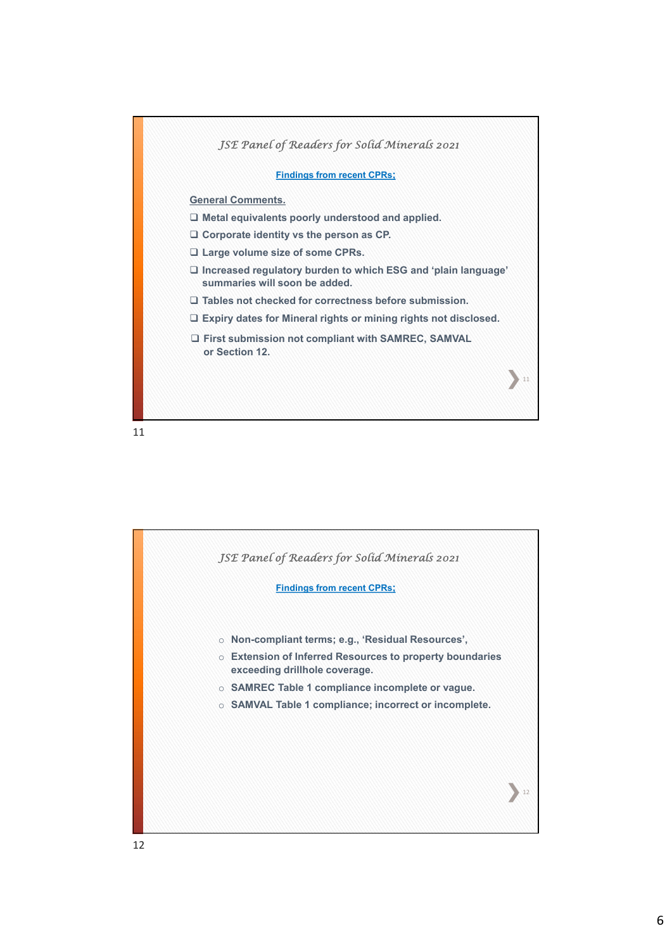

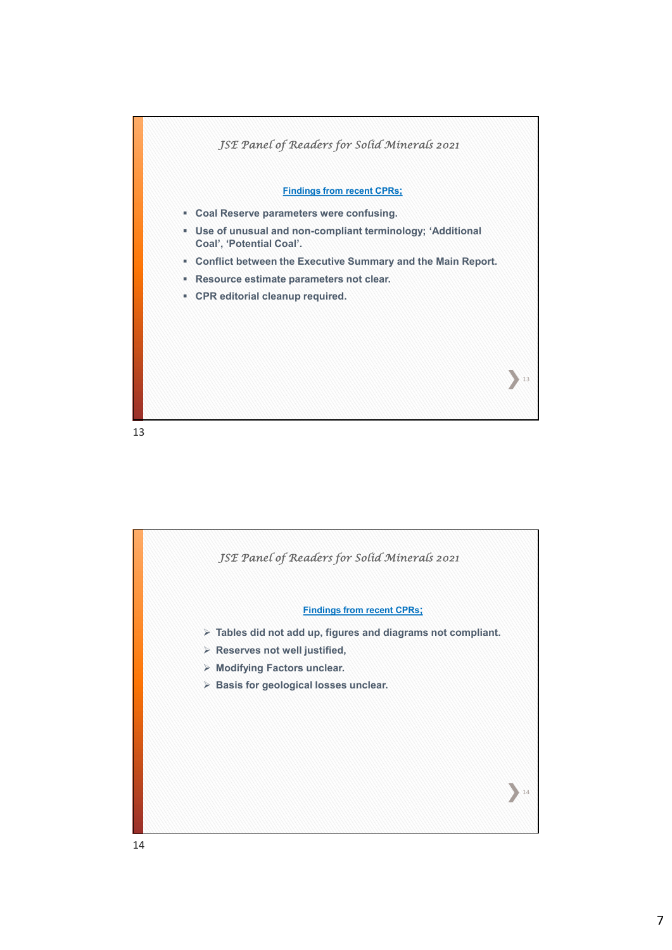

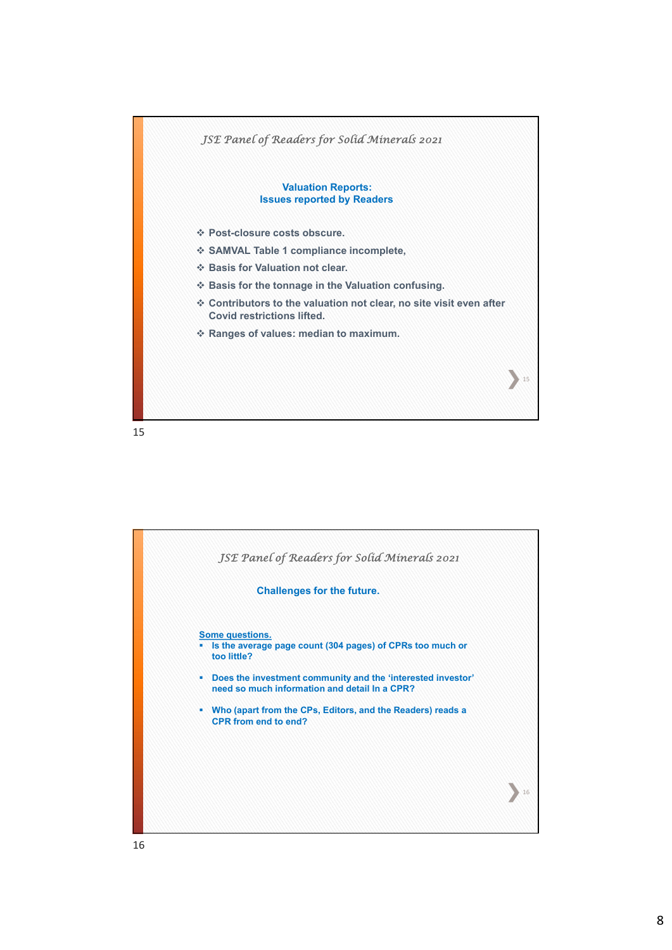